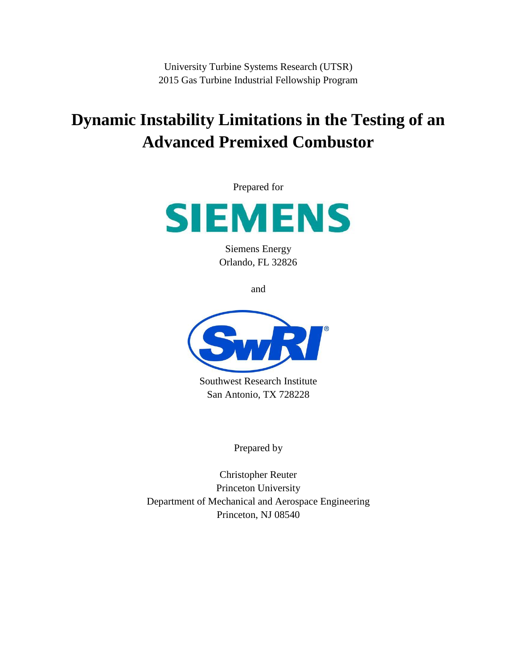University Turbine Systems Research (UTSR) 2015 Gas Turbine Industrial Fellowship Program

# **Dynamic Instability Limitations in the Testing of an Advanced Premixed Combustor**

Prepared for



Siemens Energy Orlando, FL 32826

and



Southwest Research Institute San Antonio, TX 728228

Prepared by

Christopher Reuter Princeton University Department of Mechanical and Aerospace Engineering Princeton, NJ 08540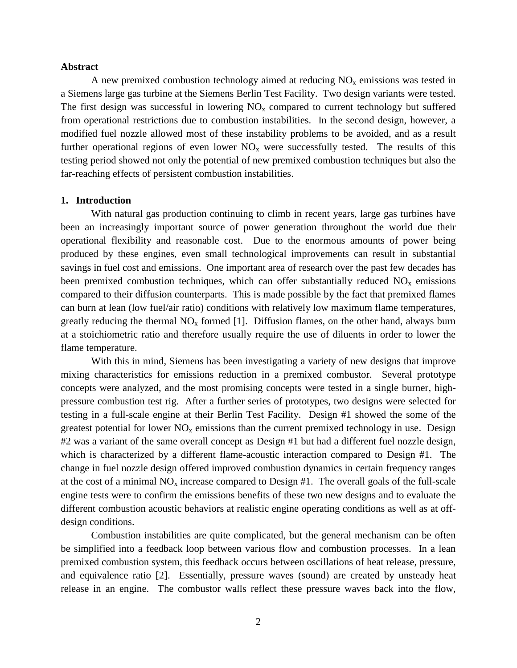## **Abstract**

A new premixed combustion technology aimed at reducing  $NO<sub>x</sub>$  emissions was tested in a Siemens large gas turbine at the Siemens Berlin Test Facility. Two design variants were tested. The first design was successful in lowering  $NO<sub>x</sub>$  compared to current technology but suffered from operational restrictions due to combustion instabilities. In the second design, however, a modified fuel nozzle allowed most of these instability problems to be avoided, and as a result further operational regions of even lower  $NO<sub>x</sub>$  were successfully tested. The results of this testing period showed not only the potential of new premixed combustion techniques but also the far-reaching effects of persistent combustion instabilities.

## **1. Introduction**

With natural gas production continuing to climb in recent years, large gas turbines have been an increasingly important source of power generation throughout the world due their operational flexibility and reasonable cost. Due to the enormous amounts of power being produced by these engines, even small technological improvements can result in substantial savings in fuel cost and emissions. One important area of research over the past few decades has been premixed combustion techniques, which can offer substantially reduced  $NO<sub>x</sub>$  emissions compared to their diffusion counterparts. This is made possible by the fact that premixed flames can burn at lean (low fuel/air ratio) conditions with relatively low maximum flame temperatures, greatly reducing the thermal  $NO<sub>x</sub>$  formed [1]. Diffusion flames, on the other hand, always burn at a stoichiometric ratio and therefore usually require the use of diluents in order to lower the flame temperature.

With this in mind, Siemens has been investigating a variety of new designs that improve mixing characteristics for emissions reduction in a premixed combustor. Several prototype concepts were analyzed, and the most promising concepts were tested in a single burner, highpressure combustion test rig. After a further series of prototypes, two designs were selected for testing in a full-scale engine at their Berlin Test Facility. Design #1 showed the some of the greatest potential for lower  $NO<sub>x</sub>$  emissions than the current premixed technology in use. Design #2 was a variant of the same overall concept as Design #1 but had a different fuel nozzle design, which is characterized by a different flame-acoustic interaction compared to Design #1. The change in fuel nozzle design offered improved combustion dynamics in certain frequency ranges at the cost of a minimal  $NO<sub>x</sub>$  increase compared to Design #1. The overall goals of the full-scale engine tests were to confirm the emissions benefits of these two new designs and to evaluate the different combustion acoustic behaviors at realistic engine operating conditions as well as at offdesign conditions.

Combustion instabilities are quite complicated, but the general mechanism can be often be simplified into a feedback loop between various flow and combustion processes. In a lean premixed combustion system, this feedback occurs between oscillations of heat release, pressure, and equivalence ratio [2]. Essentially, pressure waves (sound) are created by unsteady heat release in an engine. The combustor walls reflect these pressure waves back into the flow,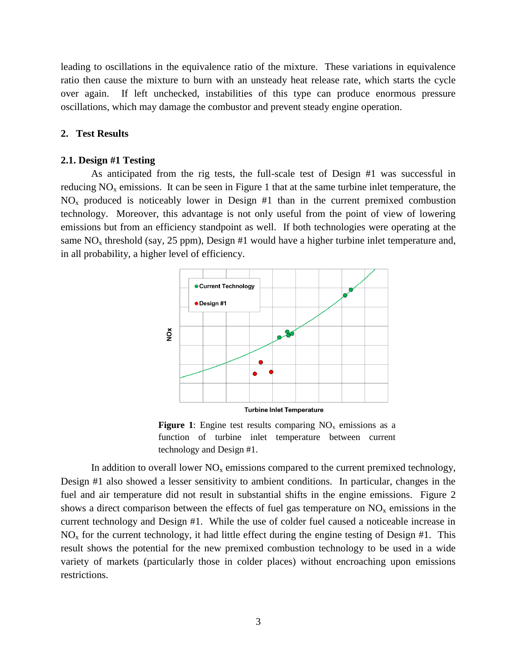leading to oscillations in the equivalence ratio of the mixture. These variations in equivalence ratio then cause the mixture to burn with an unsteady heat release rate, which starts the cycle over again. If left unchecked, instabilities of this type can produce enormous pressure oscillations, which may damage the combustor and prevent steady engine operation.

## **2. Test Results**

#### **2.1. Design #1 Testing**

As anticipated from the rig tests, the full-scale test of Design #1 was successful in reducing  $NO<sub>x</sub>$  emissions. It can be seen in Figure 1 that at the same turbine inlet temperature, the  $NO<sub>x</sub>$  produced is noticeably lower in Design #1 than in the current premixed combustion technology. Moreover, this advantage is not only useful from the point of view of lowering emissions but from an efficiency standpoint as well. If both technologies were operating at the same  $NO<sub>x</sub>$  threshold (say, 25 ppm), Design #1 would have a higher turbine inlet temperature and, in all probability, a higher level of efficiency.



**Figure 1**: Engine test results comparing  $NO<sub>x</sub>$  emissions as a function of turbine inlet temperature between current technology and Design #1.

In addition to overall lower  $NO<sub>x</sub>$  emissions compared to the current premixed technology, Design #1 also showed a lesser sensitivity to ambient conditions. In particular, changes in the fuel and air temperature did not result in substantial shifts in the engine emissions. Figure 2 shows a direct comparison between the effects of fuel gas temperature on  $NO<sub>x</sub>$  emissions in the current technology and Design #1. While the use of colder fuel caused a noticeable increase in  $NO<sub>x</sub>$  for the current technology, it had little effect during the engine testing of Design #1. This result shows the potential for the new premixed combustion technology to be used in a wide variety of markets (particularly those in colder places) without encroaching upon emissions restrictions.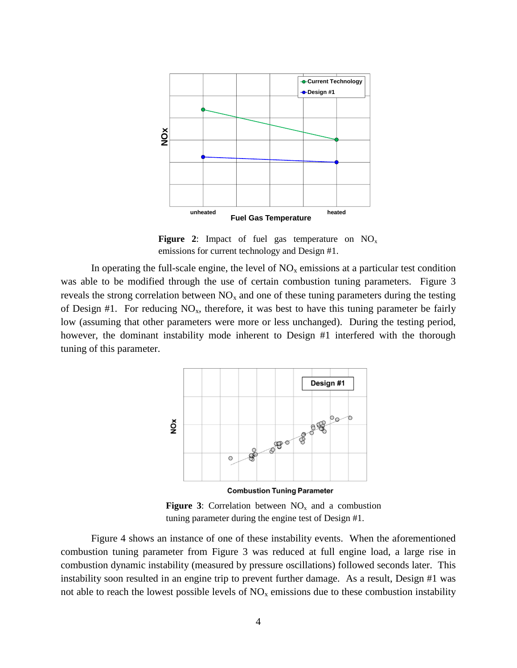

**Figure 2:** Impact of fuel gas temperature on  $NO_x$ emissions for current technology and Design #1.

In operating the full-scale engine, the level of  $NO<sub>x</sub>$  emissions at a particular test condition was able to be modified through the use of certain combustion tuning parameters. Figure 3 reveals the strong correlation between  $NO<sub>x</sub>$  and one of these tuning parameters during the testing of Design #1. For reducing  $NO_x$ , therefore, it was best to have this tuning parameter be fairly low (assuming that other parameters were more or less unchanged). During the testing period, however, the dominant instability mode inherent to Design #1 interfered with the thorough tuning of this parameter.



**Combustion Tuning Parameter** 

**Figure 3**: Correlation between  $NO_x$  and a combustion tuning parameter during the engine test of Design #1.

Figure 4 shows an instance of one of these instability events. When the aforementioned combustion tuning parameter from Figure 3 was reduced at full engine load, a large rise in combustion dynamic instability (measured by pressure oscillations) followed seconds later. This instability soon resulted in an engine trip to prevent further damage. As a result, Design #1 was not able to reach the lowest possible levels of  $NO<sub>x</sub>$  emissions due to these combustion instability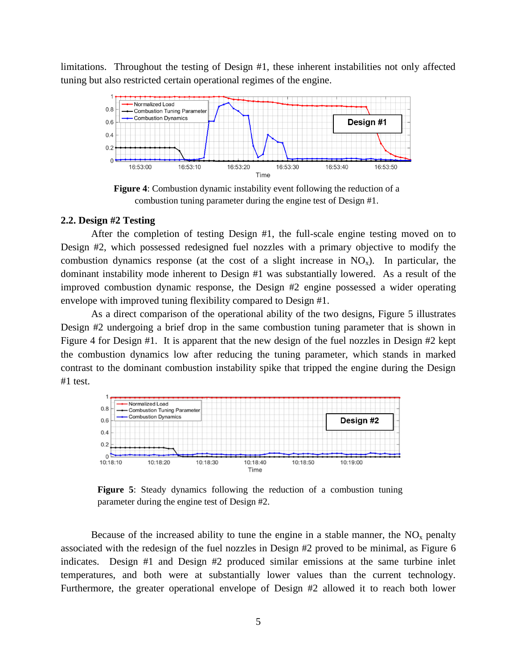limitations. Throughout the testing of Design #1, these inherent instabilities not only affected tuning but also restricted certain operational regimes of the engine.



**Figure 4**: Combustion dynamic instability event following the reduction of a combustion tuning parameter during the engine test of Design #1.

#### **2.2. Design #2 Testing**

After the completion of testing Design #1, the full-scale engine testing moved on to Design #2, which possessed redesigned fuel nozzles with a primary objective to modify the combustion dynamics response (at the cost of a slight increase in  $NO_x$ ). In particular, the dominant instability mode inherent to Design #1 was substantially lowered. As a result of the improved combustion dynamic response, the Design #2 engine possessed a wider operating envelope with improved tuning flexibility compared to Design #1.

As a direct comparison of the operational ability of the two designs, Figure 5 illustrates Design #2 undergoing a brief drop in the same combustion tuning parameter that is shown in Figure 4 for Design #1. It is apparent that the new design of the fuel nozzles in Design #2 kept the combustion dynamics low after reducing the tuning parameter, which stands in marked contrast to the dominant combustion instability spike that tripped the engine during the Design #1 test.



**Figure 5**: Steady dynamics following the reduction of a combustion tuning parameter during the engine test of Design #2.

Because of the increased ability to tune the engine in a stable manner, the  $NO<sub>x</sub>$  penalty associated with the redesign of the fuel nozzles in Design #2 proved to be minimal, as Figure 6 indicates. Design #1 and Design #2 produced similar emissions at the same turbine inlet temperatures, and both were at substantially lower values than the current technology. Furthermore, the greater operational envelope of Design #2 allowed it to reach both lower